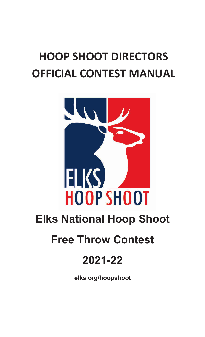# **HOOP SHOOT DIRECTORS OFFICIAL CONTEST MANUAL**



**elks.org/hoopshoot**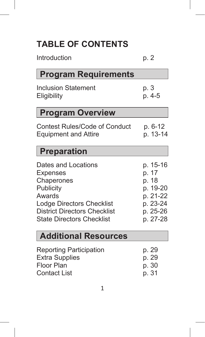# **TABLE OF CONTENTS**

| Introduction                              | p. 2            |
|-------------------------------------------|-----------------|
| <b>Program Requirements</b>               |                 |
| <b>Inclusion Statement</b><br>Eligibility | p. 3<br>$p.4-5$ |

### **Program Overview**

Contest Rules/Code of Conduct p. 6-12<br>Equipment and Attire p. 13-14 Equipment and Attire

#### **Preparation**

| p. 15-16 |
|----------|
| p. 17    |
| p. 18    |
| p. 19-20 |
| p. 21-22 |
| p. 23-24 |
| p. 25-26 |
| p. 27-28 |
|          |

### **Additional Resources**

| <b>Reporting Participation</b> | p. 29 |
|--------------------------------|-------|
| <b>Extra Supplies</b>          | p. 29 |
| Floor Plan                     | p. 30 |
| Contact List                   | p. 31 |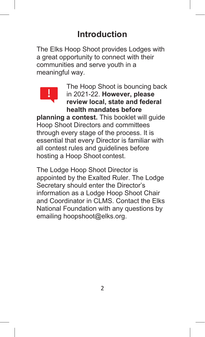# **Introduction**

The Elks Hoop Shoot provides Lodges with a great opportunity to connect with their communities and serve youth in a meaningful way.



The Hoop Shoot is bouncing back in 2021-22. **However, please review local, state and federal health mandates before**

**planning a contest.** This booklet will guide Hoop Shoot Directors and committees through every stage of the process. It is essential that every Director is familiar with all contest rules and guidelines before hosting a Hoop Shoot contest.

The Lodge Hoop Shoot Director is appointed by the Exalted Ruler. The Lodge Secretary should enter the Director's information as a Lodge Hoop Shoot Chair and Coordinator in CLMS. Contact the Flks National Foundation with any questions by emailing hoopshoot@elks.org.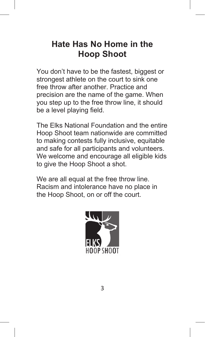### **Hate Has No Home in the Hoop Shoot**

You don't have to be the fastest, biggest or strongest athlete on the court to sink one free throw after another. Practice and precision are the name of the game. When you step up to the free throw line, it should be a level playing field.

The Elks National Foundation and the entire Hoop Shoot team nationwide are committed to making contests fully inclusive, equitable and safe for all participants and volunteers. We welcome and encourage all eligible kids to give the Hoop Shoot a shot.

We are all equal at the free throw line. Racism and intolerance have no place in the Hoop Shoot, on or off the court.

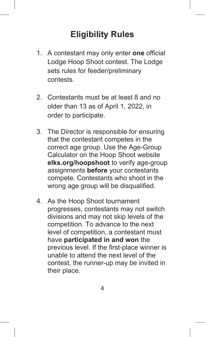# **Eligibility Rules**

- 1. A contestant may only enter **one** official Lodge Hoop Shoot contest. The Lodge sets rules for feeder/preliminary contests.
- 2. Contestants must be at least 8 and no older than 13 as of April 1, 2022, in order to participate.
- 3. The Director is responsible for ensuring that the contestant competes in the correct age group. Use the Age-Group Calculator on the Hoop Shoot website **elks.org/hoopshoot** to verify age-group assignments **before** your contestants compete. Contestants who shoot in the wrong age group will be disqualified.
- 4. As the Hoop Shoot tournament progresses, contestants may not switch divisions and may not skip levels of the competition. To advance to the next level of competition, a contestant must have **participated in and won** the previous level. If the first-place winner is unable to attend the next level of the contest, the runner-up may be invited in their place.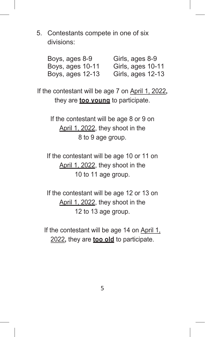5. Contestants compete in one of six divisions:

| Boys, ages 8-9   | Girls, ages 8-9   |
|------------------|-------------------|
| Boys, ages 10-11 | Girls, ages 10-11 |
| Boys, ages 12-13 | Girls, ages 12-13 |

If the contestant will be age 7 on April 1, 2022**,** they are **too young** to participate.

> If the contestant will be age 8 or 9 on April 1, 2022, they shoot in the 8 to 9 age group.

If the contestant will be age 10 or 11 on April 1, 2022, they shoot in the 10 to 11 age group.

If the contestant will be age 12 or 13 on April 1, 2022, they shoot in the 12 to 13 age group.

If the contestant will be age 14 on April 1, 2022**,** they are **too old** to participate.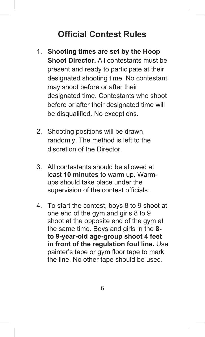### **Official Contest Rules**

- 1. **Shooting times are set by the Hoop Shoot Director.** All contestants must be present and ready to participate at their designated shooting time. No contestant may shoot before or after their designated time. Contestants who shoot before or after their designated time will be disqualified. No exceptions.
- 2. Shooting positions will be drawn randomly. The method is left to the discretion of the Director.
- 3. All contestants should be allowed at least **10 minutes** to warm up. Warmups should take place under the supervision of the contest officials.
- 4. To start the contest, boys 8 to 9 shoot at one end of the gym and girls 8 to 9 shoot at the opposite end of the gym at the same time. Boys and girls in the **8 to 9-year-old age-group shoot 4 feet in front of the regulation foul line.** Use painter's tape or gym floor tape to mark the line. No other tape should be used.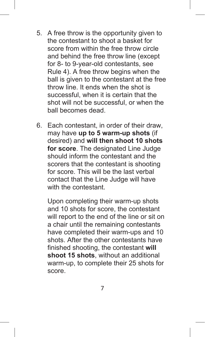- 5. A free throw is the opportunity given to the contestant to shoot a basket for score from within the free throw circle and behind the free throw line (except for 8- to 9-year-old contestants, see Rule 4). A free throw begins when the ball is given to the contestant at the free throw line. It ends when the shot is successful, when it is certain that the shot will not be successful, or when the ball becomes dead.
- 6. Each contestant, in order of their draw, may have **up to 5 warm-up shots** (if desired) and **will then shoot 10 shots for score**. The designated Line Judge should inform the contestant and the scorers that the contestant is shooting for score. This will be the last verbal contact that the Line Judge will have with the contestant.

Upon completing their warm-up shots and 10 shots for score, the contestant will report to the end of the line or sit on a chair until the remaining contestants have completed their warm-ups and 10 shots. After the other contestants have finished shooting, the contestant **will shoot 15 shots**, without an additional warm-up, to complete their 25 shots for score.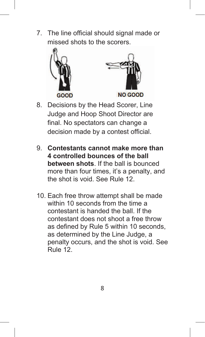7. The line official should signal made or missed shots to the scorers.





- 8. Decisions by the Head Scorer, Line Judge and Hoop Shoot Director are final. No spectators can change a decision made by a contest official.
- 9. **Contestants cannot make more than 4 controlled bounces of the ball between shots**. If the ball is bounced more than four times, it's a penalty, and the shot is void. See Rule 12.
- 10. Each free throw attempt shall be made within 10 seconds from the time a contestant is handed the ball. If the contestant does not shoot a free throw as defined by Rule 5 within 10 seconds, as determined by the Line Judge, a penalty occurs, and the shot is void. See Rule 12.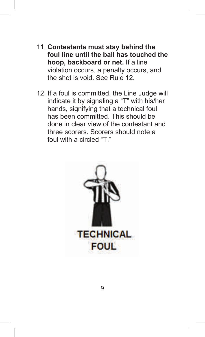- 11. **Contestants must stay behind the foul line until the ball has touched the hoop, backboard or net.** If a line violation occurs, a penalty occurs, and the shot is void. See Rule 12.
- 12. If a foul is committed, the Line Judge will indicate it by signaling a "T" with his/her hands, signifying that a technical foul has been committed. This should be done in clear view of the contestant and three scorers. Scorers should note a foul with a circled "T"

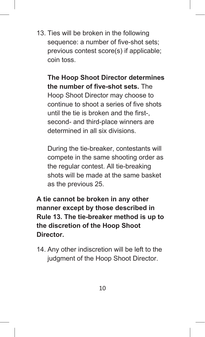13. Ties will be broken in the following sequence: a number of five-shot sets: previous contest score(s) if applicable; coin toss.

**The Hoop Shoot Director determines the number of five-shot sets.** The Hoop Shoot Director may choose to continue to shoot a series of five shots until the tie is broken and the first-, second- and third-place winners are determined in all six divisions.

During the tie-breaker, contestants will compete in the same shooting order as the regular contest. All tie-breaking shots will be made at the same basket as the previous 25.

**A tie cannot be broken in any other manner except by those described in Rule 13. The tie-breaker method is up to the discretion of the Hoop Shoot Director.**

14. Any other indiscretion will be left to the judgment of the Hoop Shoot Director.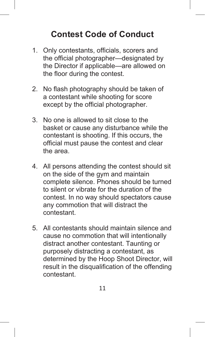### **Contest Code of Conduct**

- 1. Only contestants, officials, scorers and the official photographer—designated by the Director if applicable—are allowed on the floor during the contest.
- 2. No flash photography should be taken of a contestant while shooting for score except by the official photographer.
- 3. No one is allowed to sit close to the basket or cause any disturbance while the contestant is shooting. If this occurs, the official must pause the contest and clear the area.
- 4. All persons attending the contest should sit on the side of the gym and maintain complete silence. Phones should be turned to silent or vibrate for the duration of the contest. In no way should spectators cause any commotion that will distract the contestant.
- 5. All contestants should maintain silence and cause no commotion that will intentionally distract another contestant. Taunting or purposely distracting a contestant, as determined by the Hoop Shoot Director, will result in the disqualification of the offending contestant.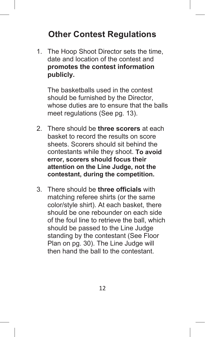# **Other Contest Regulations**

1. The Hoop Shoot Director sets the time, date and location of the contest and **promotes the contest information publicly.**

The basketballs used in the contest should be furnished by the Director, whose duties are to ensure that the balls meet regulations (See pg. 13).

- 2. There should be **three scorers** at each basket to record the results on score sheets. Scorers should sit behind the contestants while they shoot. **To avoid error, scorers should focus their attention on the Line Judge, not the contestant, during the competition.**
- 3. There should be **three officials** with matching referee shirts (or the same color/style shirt). At each basket, there should be one rebounder on each side of the foul line to retrieve the ball, which should be passed to the Line Judge standing by the contestant (See Floor Plan on pg. 30). The Line Judge will then hand the ball to the contestant.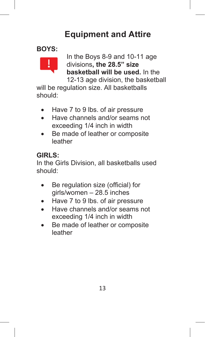# **Equipment and Attire**

#### **BOYS:**



In the Boys 8-9 and 10-11 age divisions**, the 28.5" size basketball will be used.** In the 12-13 age division, the basketball

will be regulation size. All basketballs should:

- Have 7 to 9 lbs. of air pressure
- Have channels and/or seams not exceeding 1/4 inch in width
- Be made of leather or composite leather

#### **GIRLS:**

In the Girls Division, all basketballs used should:

- Be regulation size (official) for girls/women – 28.5 inches
- Have 7 to 9 lbs. of air pressure
- Have channels and/or seams not exceeding 1/4 inch in width
- Be made of leather or composite leather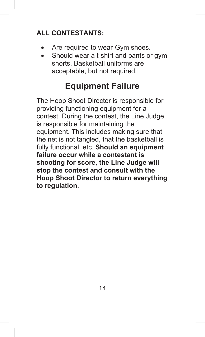#### **ALL CONTESTANTS:**

- Are required to wear Gym shoes.
- Should wear a t-shirt and pants or gym shorts. Basketball uniforms are acceptable, but not required.

### **Equipment Failure**

The Hoop Shoot Director is responsible for providing functioning equipment for a contest. During the contest, the Line Judge is responsible for maintaining the equipment. This includes making sure that the net is not tangled, that the basketball is fully functional, etc. **Should an equipment failure occur while a contestant is shooting for score, the Line Judge will stop the contest and consult with the Hoop Shoot Director to return everything to regulation.**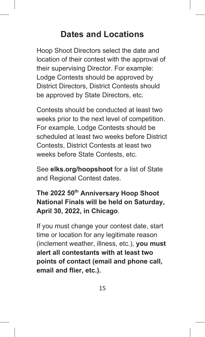### **Dates and Locations**

Hoop Shoot Directors select the date and location of their contest with the approval of their supervising Director. For example: Lodge Contests should be approved by District Directors, District Contests should be approved by State Directors, etc.

Contests should be conducted at least two weeks prior to the next level of competition. For example, Lodge Contests should be scheduled at least two weeks before District Contests, District Contests at least two weeks before State Contests, etc.

See **elks.org/hoopshoot** for a list of State and Regional Contest dates.

**The 2022 50th Anniversary Hoop Shoot National Finals will be held on Saturday, April 30, 2022, in Chicago**.

If you must change your contest date, start time or location for any legitimate reason (inclement weather, illness, etc.), **you must alert all contestants with at least two points of contact (email and phone call, email and flier, etc.).**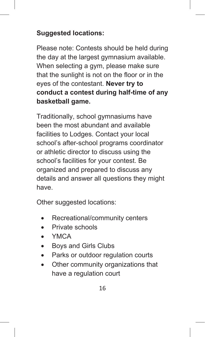#### **Suggested locations:**

Please note: Contests should be held during the day at the largest gymnasium available. When selecting a gym, please make sure that the sunlight is not on the floor or in the eyes of the contestant. **Never try to conduct a contest during half-time of any basketball game.**

Traditionally, school gymnasiums have been the most abundant and available facilities to Lodges. Contact your local school's after-school programs coordinator or athletic director to discuss using the school's facilities for your contest. Be organized and prepared to discuss any details and answer all questions they might have.

Other suggested locations:

- Recreational/community centers
- Private schools
- YMCA
- Boys and Girls Clubs
- Parks or outdoor regulation courts
- Other community organizations that have a regulation court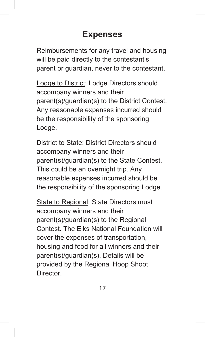### **Expenses**

Reimbursements for any travel and housing will be paid directly to the contestant's parent or guardian, never to the contestant.

Lodge to District: Lodge Directors should accompany winners and their parent(s)/guardian(s) to the District Contest. Any reasonable expenses incurred should be the responsibility of the sponsoring Lodge.

District to State: District Directors should accompany winners and their parent(s)/guardian(s) to the State Contest. This could be an overnight trip. Any reasonable expenses incurred should be the responsibility of the sponsoring Lodge.

State to Regional: State Directors must accompany winners and their parent(s)/guardian(s) to the Regional Contest. The Elks National Foundation will cover the expenses of transportation, housing and food for all winners and their parent(s)/guardian(s). Details will be provided by the Regional Hoop Shoot Director.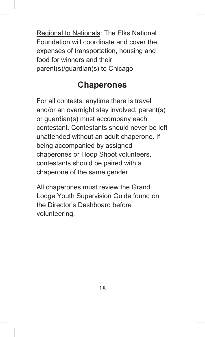Regional to Nationals: The Elks National Foundation will coordinate and cover the expenses of transportation, housing and food for winners and their parent(s)/guardian(s) to Chicago.

### **Chaperones**

For all contests, anytime there is travel and/or an overnight stay involved, parent(s) or guardian(s) must accompany each contestant. Contestants should never be left unattended without an adult chaperone. If being accompanied by assigned chaperones or Hoop Shoot volunteers, contestants should be paired with a chaperone of the same gender.

All chaperones must review the Grand Lodge Youth Supervision Guide found on the Director's Dashboard before volunteering.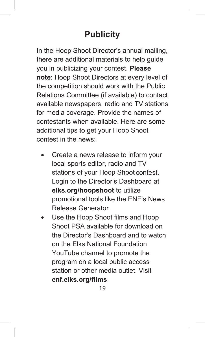# **Publicity**

In the Hoop Shoot Director's annual mailing, there are additional materials to help guide you in publicizing your contest. **Please note**: Hoop Shoot Directors at every level of the competition should work with the Public Relations Committee (if available) to contact available newspapers, radio and TV stations for media coverage. Provide the names of contestants when available. Here are some additional tips to get your Hoop Shoot contest in the news:

- Create a news release to inform your local sports editor, radio and TV stations of your Hoop Shoot contest. Login to the Director's Dashboard at **elks.org/hoopshoot** to utilize promotional tools like the ENF's News Release Generator.
- Use the Hoop Shoot films and Hoop Shoot PSA available for download on the Director's Dashboard and to watch on the Elks National Foundation YouTube channel to promote the program on a local public access station or other media outlet. Visit **enf.elks.org/films**.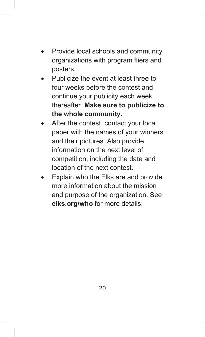- Provide local schools and community organizations with program fliers and posters.
- Publicize the event at least three to four weeks before the contest and continue your publicity each week thereafter. **Make sure to publicize to the whole community.**
- After the contest, contact your local paper with the names of your winners and their pictures. Also provide information on the next level of competition, including the date and location of the next contest.
- Explain who the Elks are and provide more information about the mission and purpose of the organization. See **elks.org/who** for more details.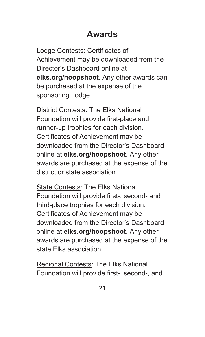### **Awards**

Lodge Contests: Certificates of Achievement may be downloaded from the Director's Dashboard online at **elks.org/hoopshoot**. Any other awards can be purchased at the expense of the sponsoring Lodge.

District Contests: The Elks National Foundation will provide first-place and runner-up trophies for each division. Certificates of Achievement may be downloaded from the Director's Dashboard online at **elks.org/hoopshoot**. Any other awards are purchased at the expense of the district or state association.

State Contests: The Elks National Foundation will provide first-, second- and third-place trophies for each division. Certificates of Achievement may be downloaded from the Director's Dashboard online at **elks.org/hoopshoot**. Any other awards are purchased at the expense of the state Elks association.

Regional Contests: The Elks National Foundation will provide first-, second-, and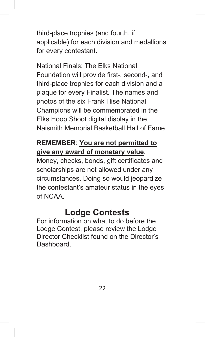third-place trophies (and fourth, if applicable) for each division and medallions for every contestant.

National Finals: The Elks National Foundation will provide first-, second-, and third-place trophies for each division and a plaque for every Finalist. The names and photos of the six Frank Hise National Champions will be commemorated in the Elks Hoop Shoot digital display in the Naismith Memorial Basketball Hall of Fame.

#### **REMEMBER**: **You are not permitted to give any award of monetary value**.

Money, checks, bonds, gift certificates and scholarships are not allowed under any circumstances. Doing so would jeopardize the contestant's amateur status in the eyes of NCAA.

### **Lodge Contests**

For information on what to do before the Lodge Contest, please review the Lodge Director Checklist found on the Director's **Dashboard**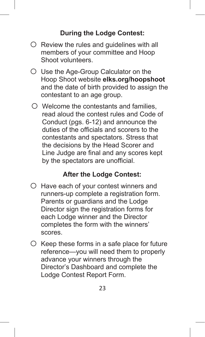#### **During the Lodge Contest:**

- $\circ$  Review the rules and quidelines with all members of your committee and Hoop Shoot volunteers.
- o Use the Age-Group Calculator on the Hoop Shoot website **elks.org/hoopshoot** and the date of birth provided to assign the contestant to an age group.
- $\circ$  Welcome the contestants and families. read aloud the contest rules and Code of Conduct (pgs. 6-12) and announce the duties of the officials and scorers to the contestants and spectators. Stress that the decisions by the Head Scorer and Line Judge are final and any scores kept by the spectators are unofficial.

#### **After the Lodge Contest:**

- $\circ$  Have each of your contest winners and runners-up complete a registration form. Parents or guardians and the Lodge Director sign the registration forms for each Lodge winner and the Director completes the form with the winners' scores.
- $\circ$  Keep these forms in a safe place for future reference—you will need them to properly advance your winners through the Director's Dashboard and complete the Lodge Contest Report Form.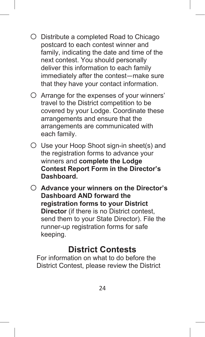- o Distribute <sup>a</sup> completed Road to Chicago postcard to each contest winner and family, indicating the date and time of the next contest. You should personally deliver this information to each family immediately after the contest—make sure that they have your contact information.
- $\circ$  Arrange for the expenses of your winners' travel to the District competition to be covered by your Lodge. Coordinate these arrangements and ensure that the arrangements are communicated with each family.
- $\circ$  Use your Hoop Shoot sign-in sheet(s) and the registration forms to advance your winners and **complete the Lodge Contest Report Form in the Director's Dashboard.**
- o **Advance your winners on the Director's Dashboard AND forward the registration forms to your District Director** (if there is no District contest, send them to your State Director). File the runner-up registration forms for safe keeping.

### **District Contests**

For information on what to do before the District Contest, please review the District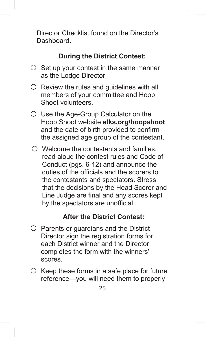Director Checklist found on the Director's **Dashboard** 

#### **During the District Contest:**

- $\circ$  Set up your contest in the same manner as the Lodge Director.
- $\circ$  Review the rules and quidelines with all members of your committee and Hoop Shoot volunteers.
- o Use the Age-Group Calculator on the Hoop Shoot website **elks.org/hoopshoot** and the date of birth provided to confirm the assigned age group of the contestant.
- $\circ$  Welcome the contestants and families. read aloud the contest rules and Code of Conduct (pgs. 6-12) and announce the duties of the officials and the scorers to the contestants and spectators. Stress that the decisions by the Head Scorer and Line Judge are final and any scores kept by the spectators are unofficial.

#### **After the District Contest:**

- $\circ$  Parents or guardians and the District Director sign the registration forms for each District winner and the Director completes the form with the winners' scores.
- $\circ$  Keep these forms in a safe place for future reference—you will need them to properly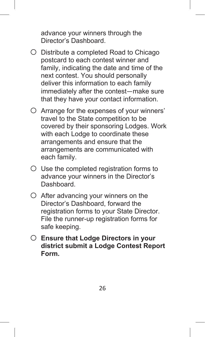advance your winners through the Director's Dashboard.

- o Distribute <sup>a</sup> completed Road to Chicago postcard to each contest winner and family, indicating the date and time of the next contest. You should personally deliver this information to each family immediately after the contest—make sure that they have your contact information.
- $\bigcirc$  Arrange for the expenses of your winners' travel to the State competition to be covered by their sponsoring Lodges. Work with each Lodge to coordinate these arrangements and ensure that the arrangements are communicated with each family.
- $\circ$  Use the completed registration forms to advance your winners in the Director's Dashboard.
- $\circ$  After advancing your winners on the Director's Dashboard, forward the registration forms to your State Director. File the runner-up registration forms for safe keeping.
- o **Ensure that Lodge Directors in your district submit a Lodge Contest Report Form.**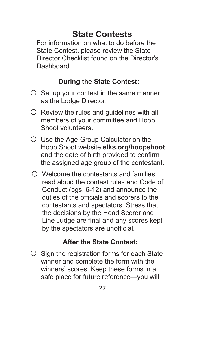### **State Contests**

For information on what to do before the State Contest, please review the State Director Checklist found on the Director's Dashboard.

#### **During the State Contest:**

- $\circ$  Set up your contest in the same manner as the Lodge Director.
- $\circ$  Review the rules and guidelines with all members of your committee and Hoop Shoot volunteers.
- o Use the Age-Group Calculator on the Hoop Shoot website **elks.org/hoopshoot** and the date of birth provided to confirm the assigned age group of the contestant.
- $\circ$  Welcome the contestants and families. read aloud the contest rules and Code of Conduct (pgs. 6-12) and announce the duties of the officials and scorers to the contestants and spectators. Stress that the decisions by the Head Scorer and Line Judge are final and any scores kept by the spectators are unofficial.

#### **After the State Contest:**

 $\circ$  Sign the registration forms for each State winner and complete the form with the winners' scores. Keep these forms in a safe place for future reference—you will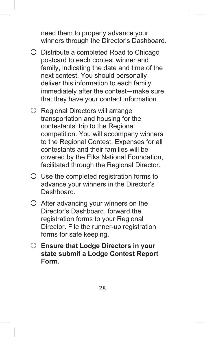need them to properly advance your winners through the Director's Dashboard.

- o Distribute <sup>a</sup> completed Road to Chicago postcard to each contest winner and family, indicating the date and time of the next contest. You should personally deliver this information to each family immediately after the contest—make sure that they have your contact information.
- O Regional Directors will arrange transportation and housing for the contestants' trip to the Regional competition. You will accompany winners to the Regional Contest. Expenses for all contestants and their families will be covered by the Elks National Foundation, facilitated through the Regional Director.
- $\circ$  Use the completed registration forms to advance your winners in the Director's Dashboard.
- $\circ$  After advancing your winners on the Director's Dashboard, forward the registration forms to your Regional Director. File the runner-up registration forms for safe keeping.
- o **Ensure that Lodge Directors in your state submit a Lodge Contest Report Form.**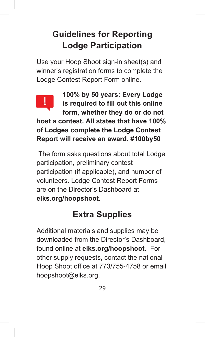# **Guidelines for Reporting Lodge Participation**

Use your Hoop Shoot sign-in sheet(s) and winner's registration forms to complete the Lodge Contest Report Form online.



**100% by 50 years: Every Lodge is required to fill out this online form, whether they do or do not**

**host a contest. All states that have 100% of Lodges complete the Lodge Contest Report will receive an award. #100by50**

The form asks questions about total Lodge participation, preliminary contest participation (if applicable), and number of volunteers. Lodge Contest Report Forms are on the Director's Dashboard at **elks.org/hoopshoot**.

# **Extra Supplies**

Additional materials and supplies may be downloaded from the Director's Dashboard, found online at **elks.org/hoopshoot.** For other supply requests, contact the national Hoop Shoot office at 773/755-4758 or email hoopshoot@elks.org.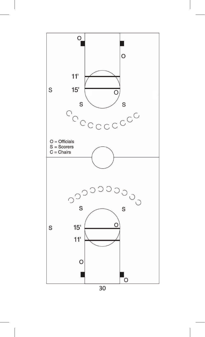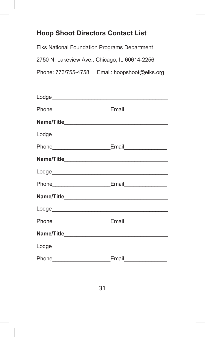#### **Hoop Shoot Directors Contact List**

Elks National Foundation Programs Department 2750 N. Lakeview Ave., Chicago, IL 60614-2256 Phone: 773/755-4758 Email: hoopshoot@elks.org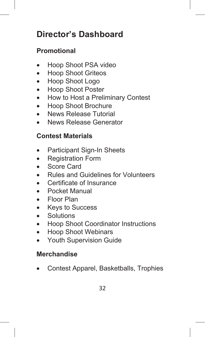# **Director's Dashboard**

### **Promotional**

- Hoop Shoot PSA video
- Hoop Shoot Griteos
- Hoop Shoot Logo
- Hoop Shoot Poster
- How to Host a Preliminary Contest
- Hoop Shoot Brochure
- News Release Tutorial
- News Release Generator

#### **Contest Materials**

- Participant Sign-In Sheets
- Registration Form
- Score Card
- Rules and Guidelines for Volunteers
- Certificate of Insurance
- Pocket Manual
- Floor Plan
- Keys to Success
- Solutions
- Hoop Shoot Coordinator Instructions
- Hoop Shoot Webinars
- Youth Supervision Guide

#### **Merchandise**

• Contest Apparel, Basketballs, Trophies